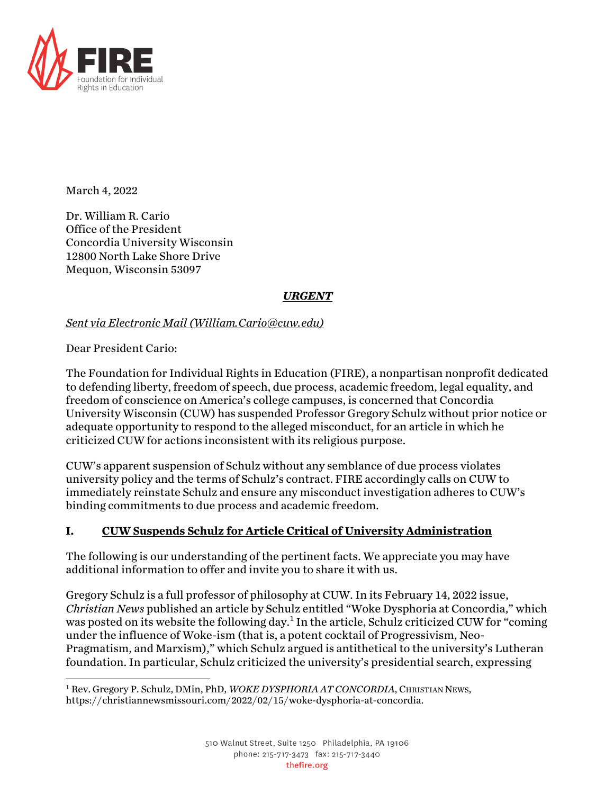

March 4, 2022

Dr. William R. Cario Office of the President Concordia University Wisconsin 12800 North Lake Shore Drive Mequon, Wisconsin 53097

### *URGENT*

### *Sent via Electronic Mail (William.Cario@cuw.edu)*

Dear President Cario:

The Foundation for Individual Rights in Education (FIRE), a nonpartisan nonprofit dedicated to defending liberty, freedom of speech, due process, academic freedom, legal equality, and freedom of conscience on America's college campuses, is concerned that Concordia University Wisconsin (CUW) has suspended Professor Gregory Schulz without prior notice or adequate opportunity to respond to the alleged misconduct, for an article in which he criticized CUW for actions inconsistent with its religious purpose.

CUW's apparent suspension of Schulz without any semblance of due process violates university policy and the terms of Schulz's contract. FIRE accordingly calls on CUW to immediately reinstate Schulz and ensure any misconduct investigation adheres to CUW's binding commitments to due process and academic freedom.

# **I. CUW Suspends Schulz for Article Critical of University Administration**

The following is our understanding of the pertinent facts. We appreciate you may have additional information to offer and invite you to share it with us.

Gregory Schulz is a full professor of philosophy at CUW. In its February 14, 2022 issue, *Christian News* published an article by Schulz entitled "Woke Dysphoria at Concordia," which was posted on its website the following day.<sup>1</sup> In the article, Schulz criticized CUW for "coming under the influence of Woke-ism (that is, a potent cocktail of Progressivism, Neo-Pragmatism, and Marxism)," which Schulz argued is antithetical to the university's Lutheran foundation. In particular, Schulz criticized the university's presidential search, expressing

<sup>1</sup> Rev. Gregory P. Schulz, DMin, PhD, *WOKE DYSPHORIA AT CONCORDIA*, CHRISTIAN NEWS, https://christiannewsmissouri.com/2022/02/15/woke-dysphoria-at-concordia.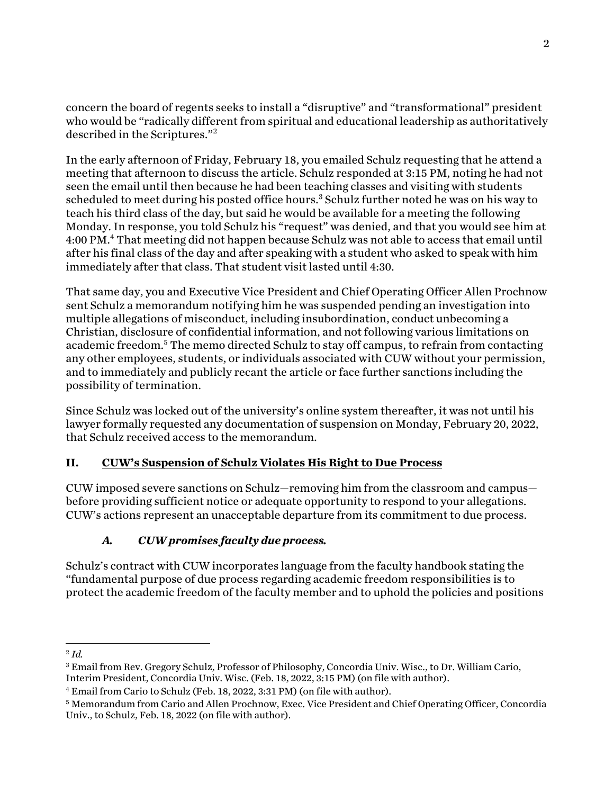concern the board of regents seeks to install a "disruptive" and "transformational" president who would be "radically different from spiritual and educational leadership as authoritatively described in the Scriptures."<sup>2</sup>

In the early afternoon of Friday, February 18, you emailed Schulz requesting that he attend a meeting that afternoon to discuss the article. Schulz responded at 3:15 PM, noting he had not seen the email until then because he had been teaching classes and visiting with students scheduled to meet during his posted office hours. <sup>3</sup> Schulz further noted he was on his way to teach his third class of the day, but said he would be available for a meeting the following Monday. In response, you told Schulz his "request" was denied, and that you would see him at 4:00 PM.4 That meeting did not happen because Schulz was not able to access that email until after his final class of the day and after speaking with a student who asked to speak with him immediately after that class. That student visit lasted until 4:30.

That same day, you and Executive Vice President and Chief Operating Officer Allen Prochnow sent Schulz a memorandum notifying him he was suspended pending an investigation into multiple allegations of misconduct, including insubordination, conduct unbecoming a Christian, disclosure of confidential information, and not following various limitations on academic freedom.<sup>5</sup> The memo directed Schulz to stay off campus, to refrain from contacting any other employees, students, or individuals associated with CUW without your permission, and to immediately and publicly recant the article or face further sanctions including the possibility of termination.

Since Schulz was locked out of the university's online system thereafter, it was not until his lawyer formally requested any documentation of suspension on Monday, February 20, 2022, that Schulz received access to the memorandum.

# **II. CUW's Suspension of Schulz Violates His Right to Due Process**

CUW imposed severe sanctions on Schulz—removing him from the classroom and campus before providing sufficient notice or adequate opportunity to respond to your allegations. CUW's actions represent an unacceptable departure from its commitment to due process.

# *A. CUW promises faculty due process.*

Schulz's contract with CUW incorporates language from the faculty handbook stating the "fundamental purpose of due process regarding academic freedom responsibilities is to protect the academic freedom of the faculty member and to uphold the policies and positions

<sup>2</sup> *Id.*

<sup>3</sup> Email from Rev. Gregory Schulz, Professor of Philosophy, Concordia Univ. Wisc., to Dr. William Cario, Interim President, Concordia Univ. Wisc. (Feb. 18, 2022, 3:15 PM) (on file with author).

<sup>4</sup> Email from Cario to Schulz (Feb. 18, 2022, 3:31 PM) (on file with author).

<sup>5</sup> Memorandum from Cario and Allen Prochnow, Exec. Vice President and Chief Operating Officer, Concordia Univ., to Schulz, Feb. 18, 2022 (on file with author).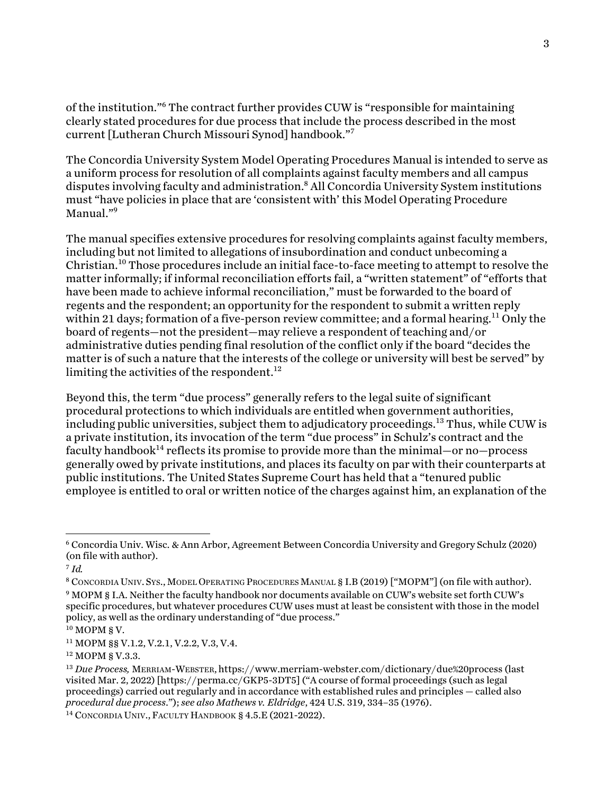of the institution."6 The contract further provides CUW is "responsible for maintaining clearly stated procedures for due process that include the process described in the most current [Lutheran Church Missouri Synod] handbook."7

The Concordia University System Model Operating Procedures Manual is intended to serve as a uniform process for resolution of all complaints against faculty members and all campus disputes involving faculty and administration.<sup>8</sup> All Concordia University System institutions must "have policies in place that are 'consistent with' this Model Operating Procedure Manual."9

The manual specifies extensive procedures for resolving complaints against faculty members, including but not limited to allegations of insubordination and conduct unbecoming a Christian.<sup>10</sup> Those procedures include an initial face-to-face meeting to attempt to resolve the matter informally; if informal reconciliation efforts fail, a "written statement" of "efforts that have been made to achieve informal reconciliation," must be forwarded to the board of regents and the respondent; an opportunity for the respondent to submit a written reply within 21 days; formation of a five-person review committee; and a formal hearing.<sup>11</sup> Only the board of regents—not the president—may relieve a respondent of teaching and/or administrative duties pending final resolution of the conflict only if the board "decides the matter is of such a nature that the interests of the college or university will best be served" by limiting the activities of the respondent.<sup>12</sup>

Beyond this, the term "due process" generally refers to the legal suite of significant procedural protections to which individuals are entitled when government authorities, including public universities, subject them to adjudicatory proceedings.<sup>13</sup> Thus, while CUW is a private institution, its invocation of the term "due process" in Schulz's contract and the faculty handbook<sup>14</sup> reflects its promise to provide more than the minimal—or no—process generally owed by private institutions, and places its faculty on par with their counterparts at public institutions. The United States Supreme Court has held that a "tenured public employee is entitled to oral or written notice of the charges against him, an explanation of the

<sup>6</sup> Concordia Univ. Wisc. & Ann Arbor, Agreement Between Concordia University and Gregory Schulz (2020) (on file with author).

<sup>7</sup> *Id.*

<sup>8</sup> CONCORDIA UNIV. SYS.,MODEL OPERATING PROCEDURES MANUAL § I.B (2019) ["MOPM"] (on file with author).

<sup>9</sup> MOPM § I.A. Neither the faculty handbook nor documents available on CUW's website set forth CUW's specific procedures, but whatever procedures CUW uses must at least be consistent with those in the model policy, as well as the ordinary understanding of "due process."

 $10$  MOPM § V.

<sup>11</sup> MOPM §§ V.1.2, V.2.1, V.2.2, V.3, V.4.

<sup>12</sup> MOPM § V.3.3.

<sup>&</sup>lt;sup>13</sup> *Due Process, MERRIAM-WEBSTER, https://www.merriam-webster.com/dictionary/due%20process (last* visited Mar. 2, 2022) [https://perma.cc/GKP5-3DT5] ("A course of formal proceedings (such as legal proceedings) carried out regularly and in accordance with established rules and principles — called also *procedural due process*."); *see also Mathews v. Eldridge*, 424 U.S. 319, 334–35 (1976).

<sup>&</sup>lt;sup>14</sup> CONCORDIA UNIV., FACULTY HANDBOOK § 4.5.E (2021-2022).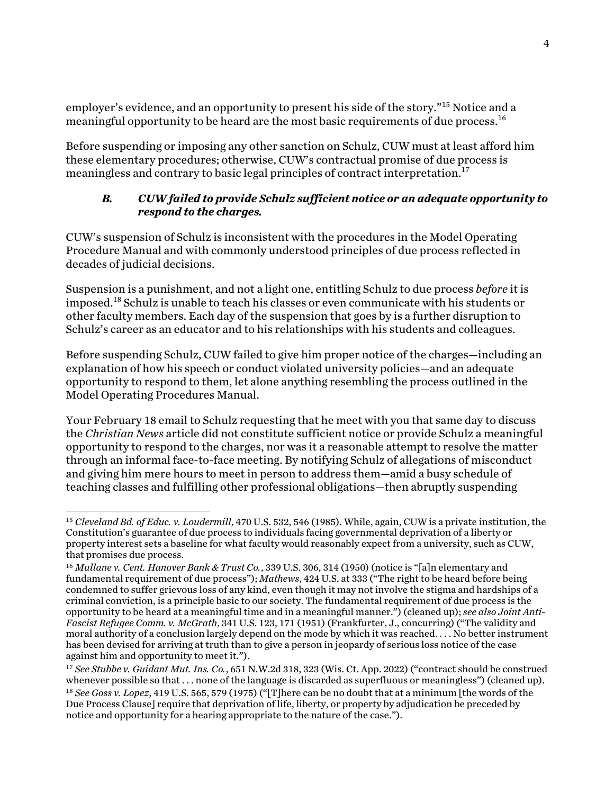employer's evidence, and an opportunity to present his side of the story."<sup>15</sup> Notice and a meaningful opportunity to be heard are the most basic requirements of due process.<sup>16</sup>

Before suspending or imposing any other sanction on Schulz, CUW must at least afford him these elementary procedures; otherwise, CUW's contractual promise of due process is meaningless and contrary to basic legal principles of contract interpretation.<sup>17</sup>

## *B. CUW failed to provide Schulz sufficient notice or an adequate opportunity to respond to the charges.*

CUW's suspension of Schulz is inconsistent with the procedures in the Model Operating Procedure Manual and with commonly understood principles of due process reflected in decades of judicial decisions.

Suspension is a punishment, and not a light one, entitling Schulz to due process *before* it is imposed.<sup>18</sup> Schulz is unable to teach his classes or even communicate with his students or other faculty members. Each day of the suspension that goes by is a further disruption to Schulz's career as an educator and to his relationships with his students and colleagues.

Before suspending Schulz, CUW failed to give him proper notice of the charges—including an explanation of how his speech or conduct violated university policies—and an adequate opportunity to respond to them, let alone anything resembling the process outlined in the Model Operating Procedures Manual.

Your February 18 email to Schulz requesting that he meet with you that same day to discuss the *Christian News* article did not constitute sufficient notice or provide Schulz a meaningful opportunity to respond to the charges, nor was it a reasonable attempt to resolve the matter through an informal face-to-face meeting. By notifying Schulz of allegations of misconduct and giving him mere hours to meet in person to address them—amid a busy schedule of teaching classes and fulfilling other professional obligations—then abruptly suspending

<sup>15</sup> *Cleveland Bd. of Educ. v. Loudermill*, 470 U.S. 532, 546 (1985). While, again, CUW is a private institution, the Constitution's guarantee of due process to individuals facing governmental deprivation of a liberty or property interest sets a baseline for what faculty would reasonably expect from a university, such as CUW, that promises due process.

<sup>16</sup> *Mullane v. Cent. Hanover Bank & Trust Co.*, 339 U.S. 306, 314 (1950) (notice is "[a]n elementary and fundamental requirement of due process"); *Mathews*, 424 U.S. at 333 ("The right to be heard before being condemned to suffer grievous loss of any kind, even though it may not involve the stigma and hardships of a criminal conviction, is a principle basic to our society. The fundamental requirement of due process is the opportunity to be heard at a meaningful time and in a meaningful manner.") (cleaned up); *see also Joint Anti-Fascist Refugee Comm. v. McGrath*, 341 U.S. 123, 171 (1951) (Frankfurter, J., concurring) ("The validity and moral authority of a conclusion largely depend on the mode by which it was reached. . . . No better instrument has been devised for arriving at truth than to give a person in jeopardy of serious loss notice of the case against him and opportunity to meet it.").

<sup>17</sup> *See Stubbe v. Guidant Mut. Ins. Co.*, 651 N.W.2d 318, 323 (Wis. Ct. App. 2022) ("contract should be construed whenever possible so that . . . none of the language is discarded as superfluous or meaningless") (cleaned up). <sup>18</sup> *See Goss v. Lopez*, 419 U.S. 565, 579 (1975) ("[T]here can be no doubt that at a minimum [the words of the Due Process Clause] require that deprivation of life, liberty, or property by adjudication be preceded by notice and opportunity for a hearing appropriate to the nature of the case.").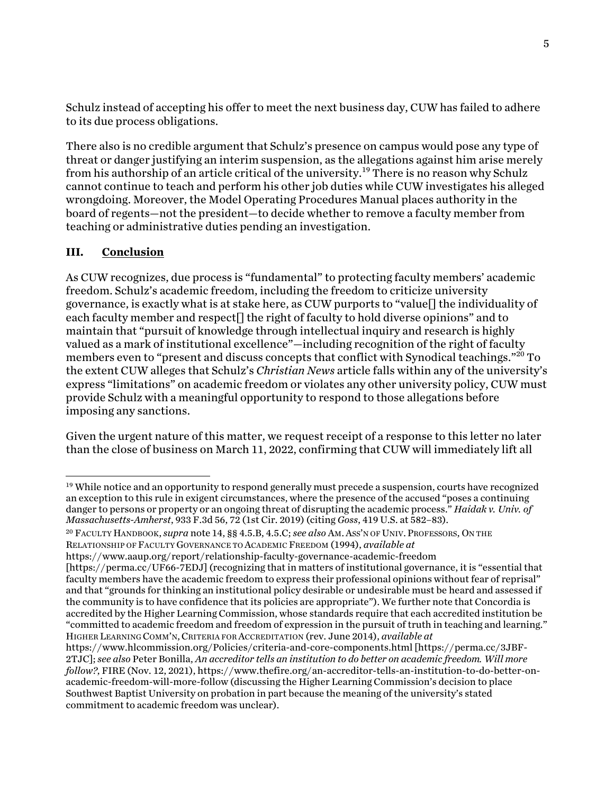Schulz instead of accepting his offer to meet the next business day, CUW has failed to adhere to its due process obligations.

There also is no credible argument that Schulz's presence on campus would pose any type of threat or danger justifying an interim suspension, as the allegations against him arise merely from his authorship of an article critical of the university.<sup>19</sup> There is no reason why Schulz cannot continue to teach and perform his other job duties while CUW investigates his alleged wrongdoing. Moreover, the Model Operating Procedures Manual places authority in the board of regents—not the president—to decide whether to remove a faculty member from teaching or administrative duties pending an investigation.

### **III. Conclusion**

As CUW recognizes, due process is "fundamental" to protecting faculty members' academic freedom. Schulz's academic freedom, including the freedom to criticize university governance, is exactly what is at stake here, as CUW purports to "value  $\Box$  the individuality of each faculty member and respect  $\vert \vert$  the right of faculty to hold diverse opinions" and to maintain that "pursuit of knowledge through intellectual inquiry and research is highly valued as a mark of institutional excellence"—including recognition of the right of faculty members even to "present and discuss concepts that conflict with Synodical teachings."<sup>20</sup> To the extent CUW alleges that Schulz's *Christian News* article falls within any of the university's express "limitations" on academic freedom or violates any other university policy, CUW must provide Schulz with a meaningful opportunity to respond to those allegations before imposing any sanctions.

Given the urgent nature of this matter, we request receipt of a response to this letter no later than the close of business on March 11, 2022, confirming that CUW will immediately lift all

<sup>&</sup>lt;sup>19</sup> While notice and an opportunity to respond generally must precede a suspension, courts have recognized an exception to this rule in exigent circumstances, where the presence of the accused "poses a continuing danger to persons or property or an ongoing threat of disrupting the academic process." *Haidak v. Univ. of Massachusetts-Amherst*, 933 F.3d 56, 72 (1st Cir. 2019) (citing *Goss*, 419 U.S. at 582–83).

<sup>20</sup> FACULTY HANDBOOK, *supra* note 14, §§ 4.5.B, 4.5.C; *see also* AM. ASS'N OF UNIV.PROFESSORS, ON THE RELATIONSHIP OF FACULTY GOVERNANCE TO ACADEMIC FREEDOM (1994), *available at*

https://www.aaup.org/report/relationship-faculty-governance-academic-freedom

<sup>[</sup>https://perma.cc/UF66-7EDJ] (recognizing that in matters of institutional governance, it is "essential that faculty members have the academic freedom to express their professional opinions without fear of reprisal" and that "grounds for thinking an institutional policy desirable or undesirable must be heard and assessed if the community is to have confidence that its policies are appropriate"). We further note that Concordia is accredited by the Higher Learning Commission, whose standards require that each accredited institution be "committed to academic freedom and freedom of expression in the pursuit of truth in teaching and learning." HIGHER LEARNING COMM'N, CRITERIA FOR ACCREDITATION (rev. June 2014), *available at* 

https://www.hlcommission.org/Policies/criteria-and-core-components.html [https://perma.cc/3JBF-2TJC]; *see also* Peter Bonilla, *An accreditor tells an institution to do better on academic freedom. Will more follow?*, FIRE (Nov. 12, 2021), https://www.thefire.org/an-accreditor-tells-an-institution-to-do-better-onacademic-freedom-will-more-follow (discussing the Higher Learning Commission's decision to place Southwest Baptist University on probation in part because the meaning of the university's stated commitment to academic freedom was unclear).